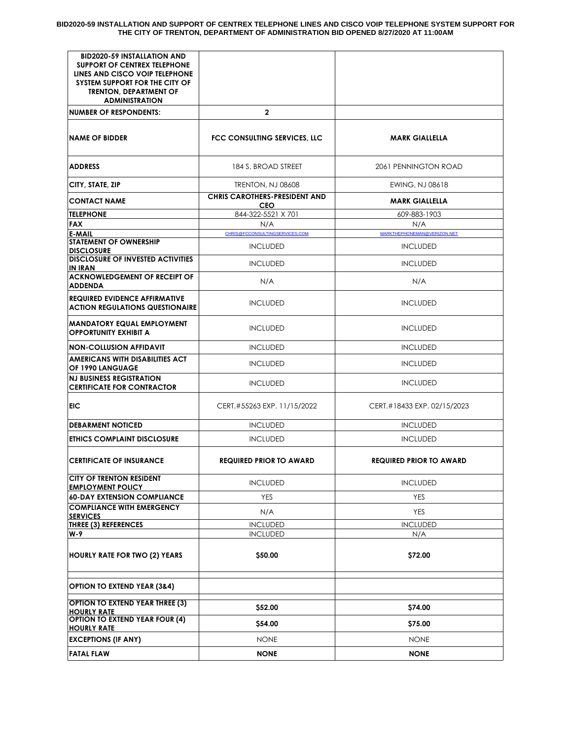**BID2020-59 INSTALLATION AND SUPPORT OF CENTREX TELEPHONE LINES AND CISCO VOIP TELEPHONE SYSTEM SUPPORT FOR THE CITY OF TRENTON, DEPARTMENT OF ADMINISTRATION BID OPENED 8/27/2020 AT 11:00AM**

| <b>BID2020-59 INSTALLATION AND</b><br><b>SUPPORT OF CENTREX TELEPHONE</b><br>LINES AND CISCO VOIP TELEPHONE<br>SYSTEM SUPPORT FOR THE CITY OF<br><b>TRENTON, DEPARTMENT OF</b><br><b>ADMINISTRATION</b> |                                                    |                                                |  |  |  |
|---------------------------------------------------------------------------------------------------------------------------------------------------------------------------------------------------------|----------------------------------------------------|------------------------------------------------|--|--|--|
| <b>NUMBER OF RESPONDENTS:</b>                                                                                                                                                                           | $\mathbf{2}$                                       |                                                |  |  |  |
| <b>NAME OF BIDDER</b>                                                                                                                                                                                   | FCC CONSULTING SERVICES, LLC                       | <b>MARK GIALLELLA</b>                          |  |  |  |
| <b>ADDRESS</b>                                                                                                                                                                                          | 184 S. BROAD STREET                                | 2061 PENNINGTON ROAD                           |  |  |  |
| CITY, STATE, ZIP                                                                                                                                                                                        | <b>TRENTON, NJ 08608</b>                           | EWING, NJ 08618                                |  |  |  |
| <b>CONTACT NAME</b>                                                                                                                                                                                     | <b>CHRIS CAROTHERS-PRESIDENT AND</b><br><b>CEO</b> | <b>MARK GIALLELLA</b>                          |  |  |  |
| <b>TELEPHONE</b>                                                                                                                                                                                        | 844-322-5521 X 701                                 | 609-883-1903                                   |  |  |  |
| <b>FAX</b>                                                                                                                                                                                              | N/A                                                | N/A                                            |  |  |  |
| <b>E-MAIL</b><br><b>STATEMENT OF OWNERSHIP</b><br><b>DISCLOSURE</b>                                                                                                                                     | CHRIS@FCCONSULTINGSERVICES.COM<br><b>INCLUDED</b>  | MARKTHEPHONEMAN@VERIZON.NET<br><b>INCLUDED</b> |  |  |  |
| <b>DISCLOSURE OF INVESTED ACTIVITIES</b><br>IN IRAN                                                                                                                                                     | <b>INCLUDED</b>                                    | <b>INCLUDED</b>                                |  |  |  |
| <b>ACKNOWLEDGEMENT OF RECEIPT OF</b><br><b>ADDENDA</b>                                                                                                                                                  | N/A                                                | N/A                                            |  |  |  |
| <b>REQUIRED EVIDENCE AFFIRMATIVE</b><br><b>ACTION REGULATIONS QUESTIONAIRE</b>                                                                                                                          | <b>INCLUDED</b>                                    | <b>INCLUDED</b>                                |  |  |  |
| MANDATORY EQUAL EMPLOYMENT<br><b>OPPORTUNITY EXHIBIT A</b>                                                                                                                                              | <b>INCLUDED</b>                                    | <b>INCLUDED</b>                                |  |  |  |
| <b>NON-COLLUSION AFFIDAVIT</b>                                                                                                                                                                          | <b>INCLUDED</b>                                    | <b>INCLUDED</b>                                |  |  |  |
| <b>AMERICANS WITH DISABILITIES ACT</b><br>OF 1990 LANGUAGE                                                                                                                                              | <b>INCLUDED</b>                                    | <b>INCLUDED</b>                                |  |  |  |
| <b>NJ BUSINESS REGISTRATION</b><br><b>CERTIFICATE FOR CONTRACTOR</b>                                                                                                                                    | <b>INCLUDED</b>                                    | <b>INCLUDED</b>                                |  |  |  |
| EIC                                                                                                                                                                                                     | CERT.#55263 EXP. 11/15/2022                        | CERT.#18433 EXP. 02/15/2023                    |  |  |  |
| <b>DEBARMENT NOTICED</b>                                                                                                                                                                                | <b>INCLUDED</b>                                    | <b>INCLUDED</b>                                |  |  |  |
| <b>ETHICS COMPLAINT DISCLOSURE</b>                                                                                                                                                                      | <b>INCLUDED</b>                                    | <b>INCLUDED</b>                                |  |  |  |
| <b>CERTIFICATE OF INSURANCE</b>                                                                                                                                                                         | <b>REQUIRED PRIOR TO AWARD</b>                     | <b>REQUIRED PRIOR TO AWARD</b>                 |  |  |  |
| CITY OF TRENTON RESIDENT<br><b>EMPLOYMENT POLICY</b>                                                                                                                                                    | <b>INCLUDED</b>                                    | <b>INCLUDED</b>                                |  |  |  |
| <b>60-DAY EXTENSION COMPLIANCE</b>                                                                                                                                                                      | <b>YES</b>                                         | YES                                            |  |  |  |
| <b>COMPLIANCE WITH EMERGENCY</b><br><b>SERVICES</b>                                                                                                                                                     | N/A                                                | <b>YES</b>                                     |  |  |  |
| THREE (3) REFERENCES                                                                                                                                                                                    | <b>INCLUDED</b>                                    | <b>INCLUDED</b>                                |  |  |  |
| W-9                                                                                                                                                                                                     | <b>INCLUDED</b>                                    | N/A                                            |  |  |  |
| <b>HOURLY RATE FOR TWO (2) YEARS</b>                                                                                                                                                                    | \$50.00                                            | \$72.00                                        |  |  |  |
| <b>OPTION TO EXTEND YEAR (3&amp;4)</b>                                                                                                                                                                  |                                                    |                                                |  |  |  |
| <b>OPTION TO EXTEND YEAR THREE (3)</b>                                                                                                                                                                  | \$52.00                                            | \$74.00                                        |  |  |  |
| <b>HOURLY RATE</b><br><b>OPTION TO EXTEND YEAR FOUR (4)</b><br><b>HOURLY RATE</b>                                                                                                                       | \$54.00                                            | \$75.00                                        |  |  |  |
| <b>EXCEPTIONS (IF ANY)</b>                                                                                                                                                                              | <b>NONE</b>                                        | <b>NONE</b>                                    |  |  |  |
| <b>FATAL FLAW</b>                                                                                                                                                                                       | <b>NONE</b>                                        | <b>NONE</b>                                    |  |  |  |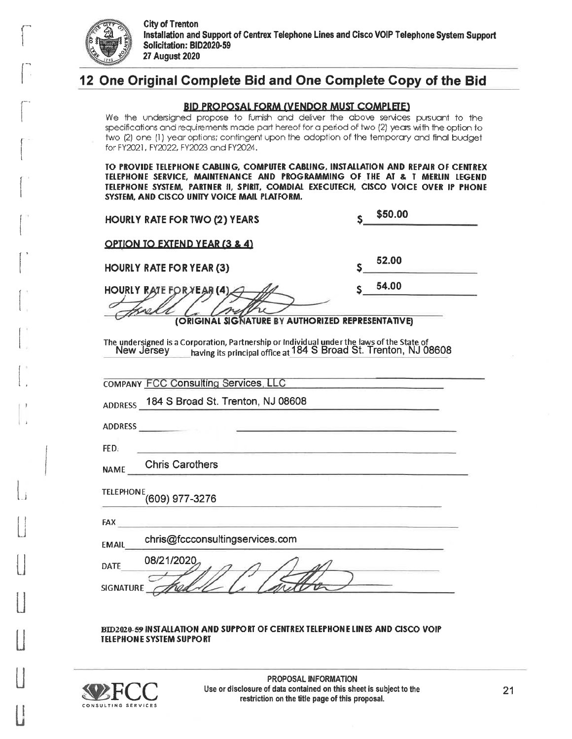

# 12 One Original Complete Bid and One Complete Copy of the Bid

#### **BID PROPOSAL FORM (VENDOR MUST COMPLETE)**

We the undersigned propose to furnish and deliver the above services pursuant to the specifications and requirements made part hereof for a period of two (2) years with the option to two (2) one (1) year options; contingent upon the adoption of the temporary and final budget for FY2021, FY2022, FY2023 and FY2024.

TO PROVIDE TELEPHONE CABLING, COMPUTER CABLING, INSTALLATION AND REPAIR OF CENTREX TELEPHONE SERVICE, MAINTENANCE AND PROGRAMMING OF THE AT & T MERLIN LEGEND TELEPHONE SYSTEM, PARTNER II, SPIRIT, COMDIAL EXECUTECH, CISCO VOICE OVER IP PHONE SYSTEM, AND CISCO UNITY VOICE MAIL PLATFORM.

| <b>HOURLY RATE FOR TWO (2) YEARS</b>                                                                                                                                      | \$50.00 |
|---------------------------------------------------------------------------------------------------------------------------------------------------------------------------|---------|
| <b>OPTION TO EXTEND YEAR (3 &amp; 4)</b>                                                                                                                                  |         |
| <b>HOURLY RATE FOR YEAR (3)</b>                                                                                                                                           | 52.00   |
| <b>HOURLY RATE FOR YEAR (4)</b>                                                                                                                                           | 54.00   |
| (ORIGINAL SIGNATURE BY AUTHORIZED REPRESENTATIVE)                                                                                                                         |         |
| The undersigned is a Corporation, Partnership or Individual under the laws of the State of<br>New Jersey having its principal office at 184 S Broad St. Trenton, NJ 08608 |         |
| <b>COMPANY FCC Consulting Services, LLC</b>                                                                                                                               |         |
| ADDRESS 184 S Broad St. Trenton, NJ 08608                                                                                                                                 |         |
|                                                                                                                                                                           |         |
| FED.                                                                                                                                                                      |         |
| <b>Chris Carothers</b><br><b>NAME</b>                                                                                                                                     |         |
| TELEPHONE <sub>(609)</sub> 977-3276                                                                                                                                       |         |
| FAX.                                                                                                                                                                      |         |
| chris@fccconsultingservices.com<br><b>EMAIL</b>                                                                                                                           |         |
| 08/21/2020<br>DATE                                                                                                                                                        |         |
| <b>SIGNATURE</b>                                                                                                                                                          |         |
|                                                                                                                                                                           |         |

#### **BID2020-59 INSTALLATION AND SUPPORT OF CENTREX TELEPHONE LINES AND CISCO VOIP** TELEPHONE SYSTEM SUPPORT



PROPOSAL INFORMATION Use or disclosure of data contained on this sheet is subject to the restriction on the title page of this proposal.